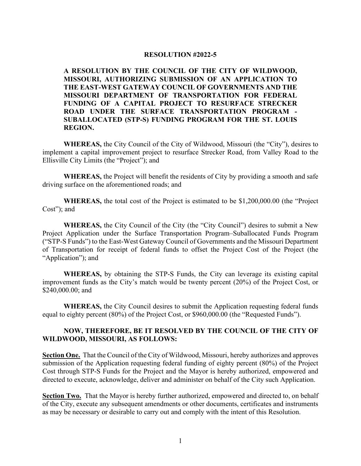## **RESOLUTION #2022-5**

**A RESOLUTION BY THE COUNCIL OF THE CITY OF WILDWOOD, MISSOURI, AUTHORIZING SUBMISSION OF AN APPLICATION TO THE EAST-WEST GATEWAY COUNCIL OF GOVERNMENTS AND THE MISSOURI DEPARTMENT OF TRANSPORTATION FOR FEDERAL FUNDING OF A CAPITAL PROJECT TO RESURFACE STRECKER ROAD UNDER THE SURFACE TRANSPORTATION PROGRAM - SUBALLOCATED (STP-S) FUNDING PROGRAM FOR THE ST. LOUIS REGION.**

**WHEREAS,** the City Council of the City of Wildwood, Missouri (the "City"), desires to implement a capital improvement project to resurface Strecker Road, from Valley Road to the Ellisville City Limits (the "Project"); and

**WHEREAS,** the Project will benefit the residents of City by providing a smooth and safe driving surface on the aforementioned roads; and

**WHEREAS,** the total cost of the Project is estimated to be \$1,200,000.00 (the "Project Cost"); and

**WHEREAS,** the City Council of the City (the "City Council") desires to submit a New Project Application under the Surface Transportation Program–Suballocated Funds Program ("STP-S Funds") to the East-West Gateway Council of Governments and the Missouri Department of Transportation for receipt of federal funds to offset the Project Cost of the Project (the "Application"); and

**WHEREAS,** by obtaining the STP-S Funds, the City can leverage its existing capital improvement funds as the City's match would be twenty percent (20%) of the Project Cost, or \$240,000.00; and

**WHEREAS,** the City Council desires to submit the Application requesting federal funds equal to eighty percent (80%) of the Project Cost, or \$960,000.00 (the "Requested Funds").

## **NOW, THEREFORE, BE IT RESOLVED BY THE COUNCIL OF THE CITY OF WILDWOOD, MISSOURI, AS FOLLOWS:**

**Section One.** That the Council of the City of Wildwood, Missouri, hereby authorizes and approves submission of the Application requesting federal funding of eighty percent (80%) of the Project Cost through STP-S Funds for the Project and the Mayor is hereby authorized, empowered and directed to execute, acknowledge, deliver and administer on behalf of the City such Application.

**Section Two.** That the Mayor is hereby further authorized, empowered and directed to, on behalf of the City, execute any subsequent amendments or other documents, certificates and instruments as may be necessary or desirable to carry out and comply with the intent of this Resolution.